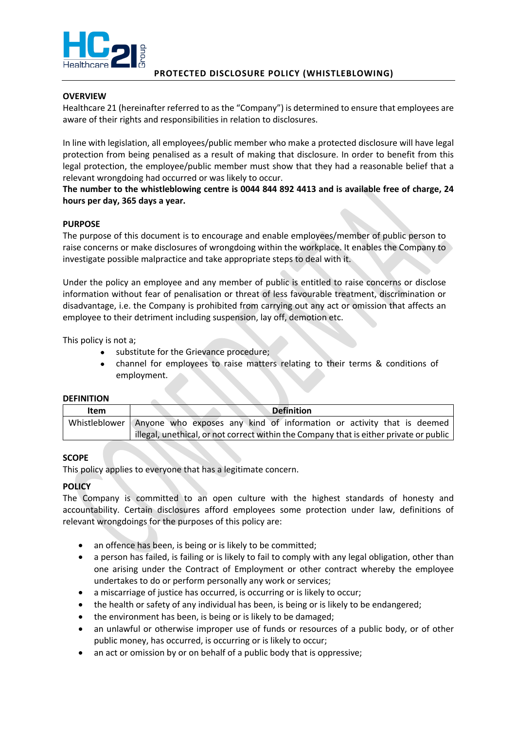

# **PROTECTED DISCLOSURE POLICY (WHISTLEBLOWING)**

### **OVERVIEW**

Healthcare 21 (hereinafter referred to as the "Company") is determined to ensure that employees are aware of their rights and responsibilities in relation to disclosures.

In line with legislation, all employees/public member who make a protected disclosure will have legal protection from being penalised as a result of making that disclosure. In order to benefit from this legal protection, the employee/public member must show that they had a reasonable belief that a relevant wrongdoing had occurred or was likely to occur.

**The number to the whistleblowing centre is 0044 844 892 4413 and is available free of charge, 24 hours per day, 365 days a year.**

### **PURPOSE**

The purpose of this document is to encourage and enable employees/member of public person to raise concerns or make disclosures of wrongdoing within the workplace. It enables the Company to investigate possible malpractice and take appropriate steps to deal with it.

Under the policy an employee and any member of public is entitled to raise concerns or disclose information without fear of penalisation or threat of less favourable treatment, discrimination or disadvantage, i.e. the Company is prohibited from carrying out any act or omission that affects an employee to their detriment including suspension, lay off, demotion etc.

This policy is not a;

- substitute for the Grievance procedure;
- channel for employees to raise matters relating to their terms & conditions of employment.

#### **DEFINITION**

| Item | <b>Definition</b>                                                                      |
|------|----------------------------------------------------------------------------------------|
|      | Whistleblower Anyone who exposes any kind of information or activity that is deemed    |
|      | illegal, unethical, or not correct within the Company that is either private or public |

#### **SCOPE**

This policy applies to everyone that has a legitimate concern.

## **POLICY**

The Company is committed to an open culture with the highest standards of honesty and accountability. Certain disclosures afford employees some protection under law, definitions of relevant wrongdoings for the purposes of this policy are:

- an offence has been, is being or is likely to be committed;
- a person has failed, is failing or is likely to fail to comply with any legal obligation, other than one arising under the Contract of Employment or other contract whereby the employee undertakes to do or perform personally any work or services;
- a miscarriage of justice has occurred, is occurring or is likely to occur;
- the health or safety of any individual has been, is being or is likely to be endangered;
- the environment has been, is being or is likely to be damaged;
- an unlawful or otherwise improper use of funds or resources of a public body, or of other public money, has occurred, is occurring or is likely to occur;
- an act or omission by or on behalf of a public body that is oppressive;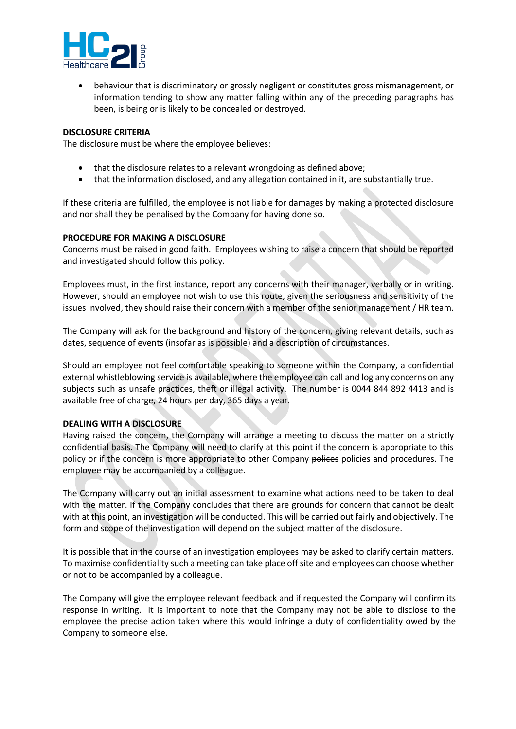

• behaviour that is discriminatory or grossly negligent or constitutes gross mismanagement, or information tending to show any matter falling within any of the preceding paragraphs has been, is being or is likely to be concealed or destroyed.

#### **DISCLOSURE CRITERIA**

The disclosure must be where the employee believes:

- that the disclosure relates to a relevant wrongdoing as defined above;
- that the information disclosed, and any allegation contained in it, are substantially true.

If these criteria are fulfilled, the employee is not liable for damages by making a protected disclosure and nor shall they be penalised by the Company for having done so.

### **PROCEDURE FOR MAKING A DISCLOSURE**

Concerns must be raised in good faith. Employees wishing to raise a concern that should be reported and investigated should follow this policy.

Employees must, in the first instance, report any concerns with their manager, verbally or in writing. However, should an employee not wish to use this route, given the seriousness and sensitivity of the issues involved, they should raise their concern with a member of the senior management / HR team.

The Company will ask for the background and history of the concern, giving relevant details, such as dates, sequence of events (insofar as is possible) and a description of circumstances.

Should an employee not feel comfortable speaking to someone within the Company, a confidential external whistleblowing service is available, where the employee can call and log any concerns on any subjects such as unsafe practices, theft or illegal activity. The number is 0044 844 892 4413 and is available free of charge, 24 hours per day, 365 days a year.

#### **DEALING WITH A DISCLOSURE**

Having raised the concern, the Company will arrange a meeting to discuss the matter on a strictly confidential basis. The Company will need to clarify at this point if the concern is appropriate to this policy or if the concern is more appropriate to other Company polices policies and procedures. The employee may be accompanied by a colleague.

The Company will carry out an initial assessment to examine what actions need to be taken to deal with the matter. If the Company concludes that there are grounds for concern that cannot be dealt with at this point, an investigation will be conducted. This will be carried out fairly and objectively. The form and scope of the investigation will depend on the subject matter of the disclosure.

It is possible that in the course of an investigation employees may be asked to clarify certain matters. To maximise confidentiality such a meeting can take place off site and employees can choose whether or not to be accompanied by a colleague.

The Company will give the employee relevant feedback and if requested the Company will confirm its response in writing. It is important to note that the Company may not be able to disclose to the employee the precise action taken where this would infringe a duty of confidentiality owed by the Company to someone else.